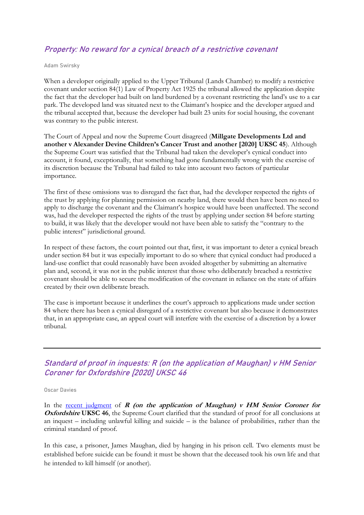## Property: No reward for a cynical breach of a restrictive covenant

Adam Swirsky

When a developer originally applied to the Upper Tribunal (Lands Chamber) to modify a restrictive covenant under section 84(1) Law of Property Act 1925 the tribunal allowed the application despite the fact that the developer had built on land burdened by a covenant restricting the land's use to a car park. The developed land was situated next to the Claimant's hospice and the developer argued and the tribunal accepted that, because the developer had built 23 units for social housing, the covenant was contrary to the public interest.

The Court of Appeal and now the Supreme Court disagreed (**Millgate Developments Ltd and another v Alexander Devine Children's Cancer Trust and another [2020] UKSC 45**). Although the Supreme Court was satisfied that the Tribunal had taken the developer's cynical conduct into account, it found, exceptionally, that something had gone fundamentally wrong with the exercise of its discretion because the Tribunal had failed to take into account two factors of particular importance.

The first of these omissions was to disregard the fact that, had the developer respected the rights of the trust by applying for planning permission on nearby land, there would then have been no need to apply to discharge the covenant and the Claimant's hospice would have been unaffected. The second was, had the developer respected the rights of the trust by applying under section 84 before starting to build, it was likely that the developer would not have been able to satisfy the "contrary to the public interest" jurisdictional ground.

In respect of these factors, the court pointed out that, first, it was important to deter a cynical breach under section 84 but it was especially important to do so where that cynical conduct had produced a land-use conflict that could reasonably have been avoided altogether by submitting an alternative plan and, second, it was not in the public interest that those who deliberately breached a restrictive covenant should be able to secure the modification of the covenant in reliance on the state of affairs created by their own deliberate breach.

The case is important because it underlines the court's approach to applications made under section 84 where there has been a cynical disregard of a restrictive covenant but also because it demonstrates that, in an appropriate case, an appeal court will interfere with the exercise of a discretion by a lower tribunal.

## Standard of proof in inquests: R (on the application of Maughan) v HM Senior Coroner for Oxfordshire [2020] UKSC 46

#### Oscar Davies

In the [recent judgment](https://www.supremecourt.uk/cases/docs/uksc-2019-0137-judgment.pdf) of  $R$  (on the application of Maughan)  $v$  HM Senior Coroner for **Oxfordshire UKSC 46**, the Supreme Court clarified that the standard of proof for all conclusions at an inquest – including unlawful killing and suicide – is the balance of probabilities, rather than the criminal standard of proof.

In this case, a prisoner, James Maughan, died by hanging in his prison cell. Two elements must be established before suicide can be found: it must be shown that the deceased took his own life and that he intended to kill himself (or another).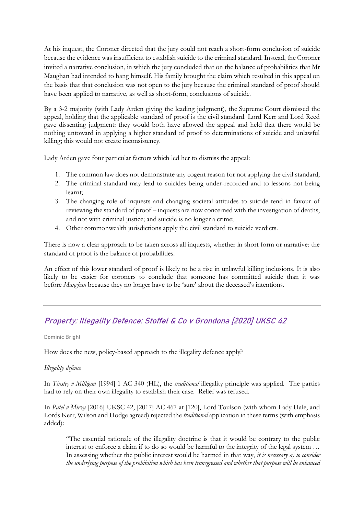At his inquest, the Coroner directed that the jury could not reach a short-form conclusion of suicide because the evidence was insufficient to establish suicide to the criminal standard. Instead, the Coroner invited a narrative conclusion, in which the jury concluded that on the balance of probabilities that Mr Maughan had intended to hang himself. His family brought the claim which resulted in this appeal on the basis that that conclusion was not open to the jury because the criminal standard of proof should have been applied to narrative, as well as short-form, conclusions of suicide.

By a 3-2 majority (with Lady Arden giving the leading judgment), the Supreme Court dismissed the appeal, holding that the applicable standard of proof is the civil standard. Lord Kerr and Lord Reed gave dissenting judgment: they would both have allowed the appeal and held that there would be nothing untoward in applying a higher standard of proof to determinations of suicide and unlawful killing; this would not create inconsistency.

Lady Arden gave four particular factors which led her to dismiss the appeal:

- 1. The common law does not demonstrate any cogent reason for not applying the civil standard;
- 2. The criminal standard may lead to suicides being under-recorded and to lessons not being learnt;
- 3. The changing role of inquests and changing societal attitudes to suicide tend in favour of reviewing the standard of proof – inquests are now concerned with the investigation of deaths, and not with criminal justice; and suicide is no longer a crime;
- 4. Other commonwealth jurisdictions apply the civil standard to suicide verdicts.

There is now a clear approach to be taken across all inquests, whether in short form or narrative: the standard of proof is the balance of probabilities.

An effect of this lower standard of proof is likely to be a rise in unlawful killing inclusions. It is also likely to be easier for coroners to conclude that someone has committed suicide than it was before *Maughan* because they no longer have to be 'sure' about the deceased's intentions.

# Property: Illegality Defence: Stoffel & Co v Grondona [2020] UKSC 42

Dominic Bright

How does the new, policy-based approach to the illegality defence apply?

### *Illegality defence*

In *Tinsley v Milligan* [1994] 1 AC 340 (HL), the *traditional* illegality principle was applied. The parties had to rely on their own illegality to establish their case. Relief was refused.

In *Patel v Mirza* [2016] UKSC 42, [2017] AC 467 at [120], Lord Toulson (with whom Lady Hale, and Lords Kerr, Wilson and Hodge agreed) rejected the *traditional* application in these terms (with emphasis added):

"The essential rationale of the illegality doctrine is that it would be contrary to the public interest to enforce a claim if to do so would be harmful to the integrity of the legal system … In assessing whether the public interest would be harmed in that way, *it is necessary a) to consider the underlying purpose of the prohibition which has been transgressed and whether that purpose will be enhanced*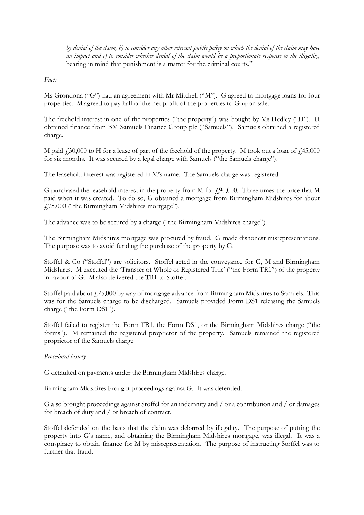*by denial of the claim, b) to consider any other relevant public policy on which the denial of the claim may have an impact and c) to consider whether denial of the claim would be a proportionate response to the illegality,*  bearing in mind that punishment is a matter for the criminal courts."

*Facts*

Ms Grondona ("G") had an agreement with Mr Mitchell ("M"). G agreed to mortgage loans for four properties. M agreed to pay half of the net profit of the properties to G upon sale.

The freehold interest in one of the properties ("the property") was bought by Ms Hedley ("H"). H obtained finance from BM Samuels Finance Group plc ("Samuels"). Samuels obtained a registered charge.

M paid  $\text{\emph{f}}30,000$  to H for a lease of part of the freehold of the property. M took out a loan of  $\text{\emph{f}}3,000$ for six months. It was secured by a legal charge with Samuels ("the Samuels charge").

The leasehold interest was registered in M's name. The Samuels charge was registered.

G purchased the leasehold interest in the property from M for  $f$ 90,000. Three times the price that M paid when it was created. To do so, G obtained a mortgage from Birmingham Midshires for about £75,000 ("the Birmingham Midshires mortgage").

The advance was to be secured by a charge ("the Birmingham Midshires charge").

The Birmingham Midshires mortgage was procured by fraud. G made dishonest misrepresentations. The purpose was to avoid funding the purchase of the property by G.

Stoffel & Co ("Stoffel") are solicitors. Stoffel acted in the conveyance for G, M and Birmingham Midshires. M executed the 'Transfer of Whole of Registered Title' ("the Form TR1") of the property in favour of G. M also delivered the TR1 to Stoffel.

Stoffel paid about  $\ddot{P}$  / 75,000 by way of mortgage advance from Birmingham Midshires to Samuels. This was for the Samuels charge to be discharged. Samuels provided Form DS1 releasing the Samuels charge ("the Form DS1").

Stoffel failed to register the Form TR1, the Form DS1, or the Birmingham Midshires charge ("the forms"). M remained the registered proprietor of the property. Samuels remained the registered proprietor of the Samuels charge.

### *Procedural history*

G defaulted on payments under the Birmingham Midshires charge.

Birmingham Midshires brought proceedings against G. It was defended.

G also brought proceedings against Stoffel for an indemnity and / or a contribution and / or damages for breach of duty and / or breach of contract.

Stoffel defended on the basis that the claim was debarred by illegality. The purpose of putting the property into G's name, and obtaining the Birmingham Midshires mortgage, was illegal. It was a conspiracy to obtain finance for M by misrepresentation. The purpose of instructing Stoffel was to further that fraud.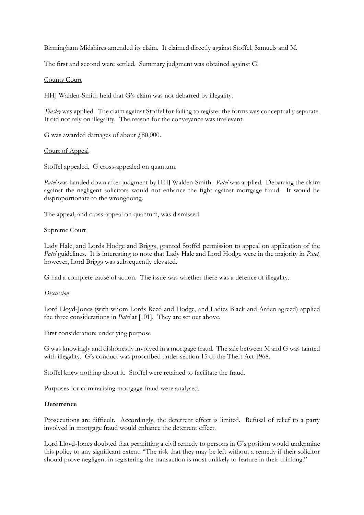Birmingham Midshires amended its claim. It claimed directly against Stoffel, Samuels and M.

The first and second were settled. Summary judgment was obtained against G.

## County Court

HHJ Walden-Smith held that G's claim was not debarred by illegality.

*Tinsley* was applied. The claim against Stoffel for failing to register the forms was conceptually separate. It did not rely on illegality. The reason for the conveyance was irrelevant.

G was awarded damages of about  $\text{\emph{f}}80,000$ .

## Court of Appeal

Stoffel appealed. G cross-appealed on quantum.

*Patel* was handed down after judgment by HHJ Walden-Smith. *Patel* was applied. Debarring the claim against the negligent solicitors would not enhance the fight against mortgage fraud. It would be disproportionate to the wrongdoing.

The appeal, and cross-appeal on quantum, was dismissed.

### Supreme Court

Lady Hale, and Lords Hodge and Briggs, granted Stoffel permission to appeal on application of the *Patel* guidelines. It is interesting to note that Lady Hale and Lord Hodge were in the majority in *Patel*, however, Lord Briggs was subsequently elevated.

G had a complete cause of action. The issue was whether there was a defence of illegality.

### *Discussion*

Lord Lloyd-Jones (with whom Lords Reed and Hodge, and Ladies Black and Arden agreed) applied the three considerations in *Patel* at [101]. They are set out above.

### First consideration: underlying purpose

G was knowingly and dishonestly involved in a mortgage fraud. The sale between M and G was tainted with illegality. G's conduct was proscribed under section 15 of the Theft Act 1968.

Stoffel knew nothing about it. Stoffel were retained to facilitate the fraud.

Purposes for criminalising mortgage fraud were analysed.

## **Deterrence**

Prosecutions are difficult. Accordingly, the deterrent effect is limited. Refusal of relief to a party involved in mortgage fraud would enhance the deterrent effect.

Lord Lloyd-Jones doubted that permitting a civil remedy to persons in G's position would undermine this policy to any significant extent: "The risk that they may be left without a remedy if their solicitor should prove negligent in registering the transaction is most unlikely to feature in their thinking."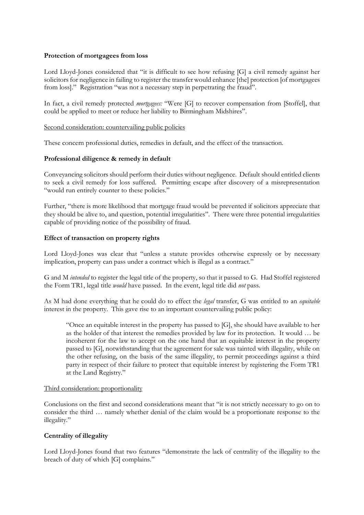## **Protection of mortgagees from loss**

Lord Lloyd-Jones considered that "it is difficult to see how refusing [G] a civil remedy against her solicitors for negligence in failing to register the transfer would enhance [the] protection [of mortgagees from loss]." Registration "was not a necessary step in perpetrating the fraud".

In fact, a civil remedy protected *mortgagees:* "Were [G] to recover compensation from [Stoffel], that could be applied to meet or reduce her liability to Birmingham Midshires".

## Second consideration: countervailing public policies

These concern professional duties, remedies in default, and the effect of the transaction.

## **Professional diligence & remedy in default**

Conveyancing solicitors should perform their duties without negligence. Default should entitled clients to seek a civil remedy for loss suffered. Permitting escape after discovery of a misrepresentation "would run entirely counter to these policies."

Further, "there is more likelihood that mortgage fraud would be prevented if solicitors appreciate that they should be alive to, and question, potential irregularities". There were three potential irregularities capable of providing notice of the possibility of fraud.

## **Effect of transaction on property rights**

Lord Lloyd-Jones was clear that "unless a statute provides otherwise expressly or by necessary implication, property can pass under a contract which is illegal as a contract."

G and M *intended* to register the legal title of the property, so that it passed to G. Had Stoffel registered the Form TR1, legal title *would* have passed. In the event, legal title did *not* pass.

As M had done everything that he could do to effect the *legal* transfer, G was entitled to an *equitable*  interest in the property. This gave rise to an important countervailing public policy:

"Once an equitable interest in the property has passed to [G], she should have available to her as the holder of that interest the remedies provided by law for its protection. It would … be incoherent for the law to accept on the one hand that an equitable interest in the property passed to [G], notwithstanding that the agreement for sale was tainted with illegality, while on the other refusing, on the basis of the same illegality, to permit proceedings against a third party in respect of their failure to protect that equitable interest by registering the Form TR1 at the Land Registry."

### Third consideration: proportionality

Conclusions on the first and second considerations meant that "it is not strictly necessary to go on to consider the third … namely whether denial of the claim would be a proportionate response to the illegality."

### **Centrality of illegality**

Lord Lloyd-Jones found that two features "demonstrate the lack of centrality of the illegality to the breach of duty of which [G] complains."